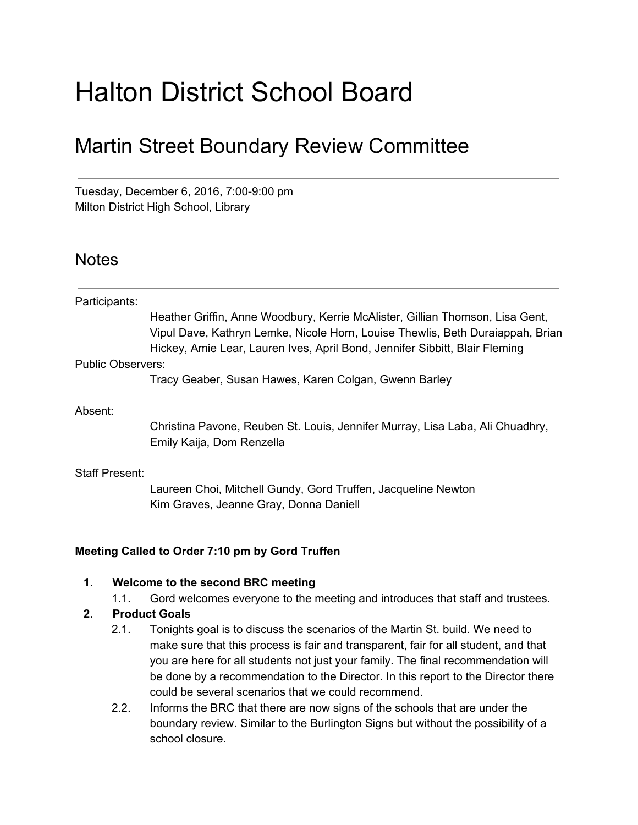# Halton District School Board

# Martin Street Boundary Review Committee

Tuesday, December 6, 2016, 7:00-9:00 pm Milton District High School, Library

# **Notes**

| Heather Griffin, Anne Woodbury, Kerrie McAlister, Gillian Thomson, Lisa Gent,                                                                                 |
|---------------------------------------------------------------------------------------------------------------------------------------------------------------|
| Vipul Dave, Kathryn Lemke, Nicole Horn, Louise Thewlis, Beth Duraiappah, Brian<br>Hickey, Amie Lear, Lauren Ives, April Bond, Jennifer Sibbitt, Blair Fleming |
|                                                                                                                                                               |
| Tracy Geaber, Susan Hawes, Karen Colgan, Gwenn Barley                                                                                                         |
|                                                                                                                                                               |
| Christina Pavone, Reuben St. Louis, Jennifer Murray, Lisa Laba, Ali Chuadhry,<br>Emily Kaija, Dom Renzella                                                    |
|                                                                                                                                                               |
| Laureen Choi, Mitchell Gundy, Gord Truffen, Jacqueline Newton<br>Kim Graves, Jeanne Gray, Donna Daniell                                                       |
|                                                                                                                                                               |

#### **Meeting Called to Order 7:10 pm by Gord Truffen**

#### **1. Welcome to the second BRC meeting**

1.1. Gord welcomes everyone to the meeting and introduces that staff and trustees.

#### **2. Product Goals**

- 2.1. Tonights goal is to discuss the scenarios of the Martin St. build. We need to make sure that this process is fair and transparent, fair for all student, and that you are here for all students not just your family. The final recommendation will be done by a recommendation to the Director. In this report to the Director there could be several scenarios that we could recommend.
- 2.2. Informs the BRC that there are now signs of the schools that are under the boundary review. Similar to the Burlington Signs but without the possibility of a school closure.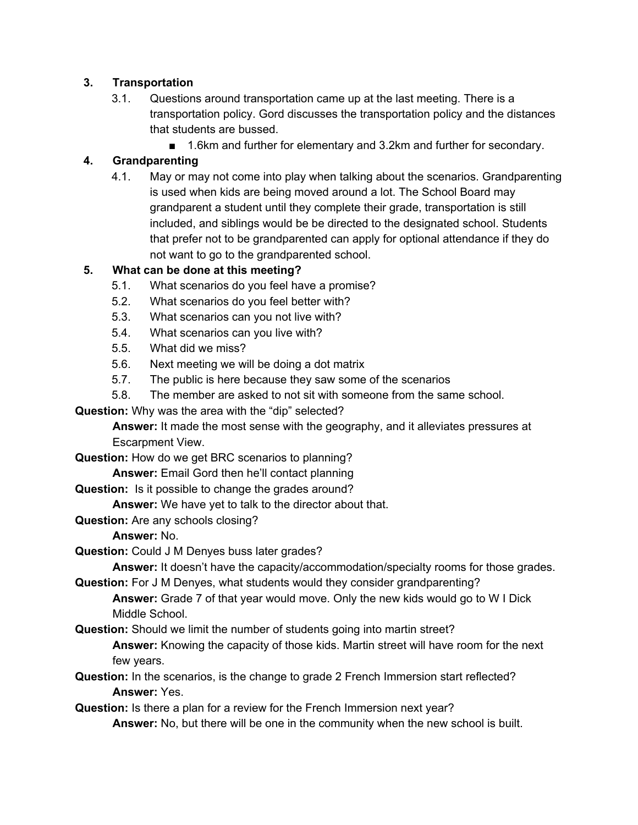#### **3. Transportation**

- 3.1. Questions around transportation came up at the last meeting. There is a transportation policy. Gord discusses the transportation policy and the distances that students are bussed.
	- 1.6km and further for elementary and 3.2km and further for secondary.

## **4. Grandparenting**

4.1. May or may not come into play when talking about the scenarios. Grandparenting is used when kids are being moved around a lot. The School Board may grandparent a student until they complete their grade, transportation is still included, and siblings would be be directed to the designated school. Students that prefer not to be grandparented can apply for optional attendance if they do not want to go to the grandparented school.

#### **5. What can be done at this meeting?**

- 5.1. What scenarios do you feel have a promise?
- 5.2. What scenarios do you feel better with?
- 5.3. What scenarios can you not live with?
- 5.4. What scenarios can you live with?
- 5.5. What did we miss?
- 5.6. Next meeting we will be doing a dot matrix
- 5.7. The public is here because they saw some of the scenarios
- 5.8. The member are asked to not sit with someone from the same school.

**Question:** Why was the area with the "dip" selected?

**Answer:** It made the most sense with the geography, and it alleviates pressures at Escarpment View.

**Question:** How do we get BRC scenarios to planning?

**Answer:** Email Gord then he'll contact planning

**Question:** Is it possible to change the grades around?

**Answer:** We have yet to talk to the director about that.

**Question:** Are any schools closing?

**Answer:** No.

**Question:** Could J M Denyes buss later grades?

**Answer:** It doesn't have the capacity/accommodation/specialty rooms for those grades.

**Question:** For J M Denyes, what students would they consider grandparenting?

**Answer:** Grade 7 of that year would move. Only the new kids would go to W I Dick Middle School.

**Question:** Should we limit the number of students going into martin street?

**Answer:** Knowing the capacity of those kids. Martin street will have room for the next few years.

**Question:** In the scenarios, is the change to grade 2 French Immersion start reflected? **Answer:** Yes.

**Question:** Is there a plan for a review for the French Immersion next year?

**Answer:** No, but there will be one in the community when the new school is built.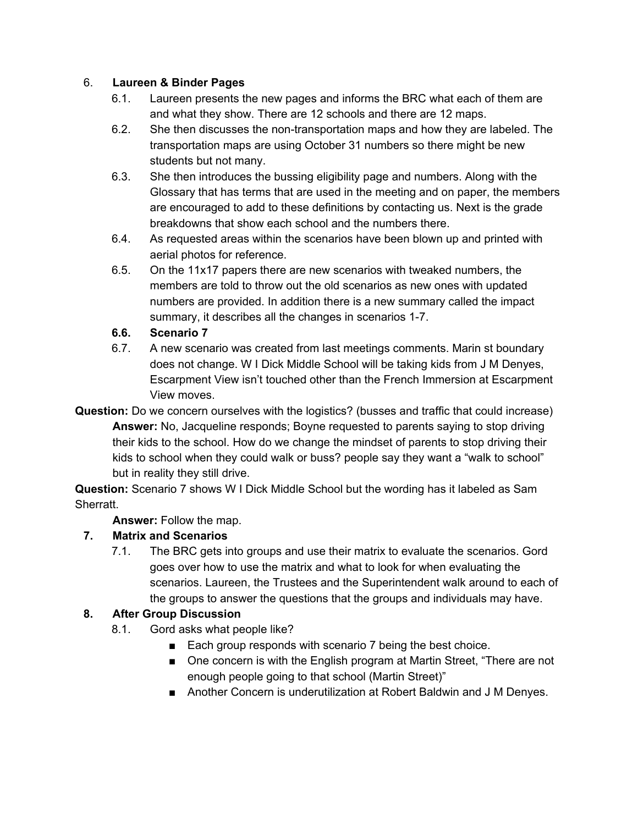#### 6. **Laureen & Binder Pages**

- 6.1. Laureen presents the new pages and informs the BRC what each of them are and what they show. There are 12 schools and there are 12 maps.
- 6.2. She then discusses the non-transportation maps and how they are labeled. The transportation maps are using October 31 numbers so there might be new students but not many.
- 6.3. She then introduces the bussing eligibility page and numbers. Along with the Glossary that has terms that are used in the meeting and on paper, the members are encouraged to add to these definitions by contacting us. Next is the grade breakdowns that show each school and the numbers there.
- 6.4. As requested areas within the scenarios have been blown up and printed with aerial photos for reference.
- 6.5. On the 11x17 papers there are new scenarios with tweaked numbers, the members are told to throw out the old scenarios as new ones with updated numbers are provided. In addition there is a new summary called the impact summary, it describes all the changes in scenarios 1-7.

#### **6.6. Scenario 7**

- 6.7. A new scenario was created from last meetings comments. Marin st boundary does not change. W I Dick Middle School will be taking kids from J M Denyes, Escarpment View isn't touched other than the French Immersion at Escarpment View moves.
- **Question:** Do we concern ourselves with the logistics? (busses and traffic that could increase) **Answer:** No, Jacqueline responds; Boyne requested to parents saying to stop driving their kids to the school. How do we change the mindset of parents to stop driving their kids to school when they could walk or buss? people say they want a "walk to school" but in reality they still drive.

**Question:** Scenario 7 shows W I Dick Middle School but the wording has it labeled as Sam Sherratt.

**Answer:** Follow the map.

#### **7. Matrix and Scenarios**

7.1. The BRC gets into groups and use their matrix to evaluate the scenarios. Gord goes over how to use the matrix and what to look for when evaluating the scenarios. Laureen, the Trustees and the Superintendent walk around to each of the groups to answer the questions that the groups and individuals may have.

#### **8. After Group Discussion**

- 8.1. Gord asks what people like?
	- Each group responds with scenario 7 being the best choice.
	- One concern is with the English program at Martin Street, "There are not enough people going to that school (Martin Street)"
	- Another Concern is underutilization at Robert Baldwin and J M Denyes.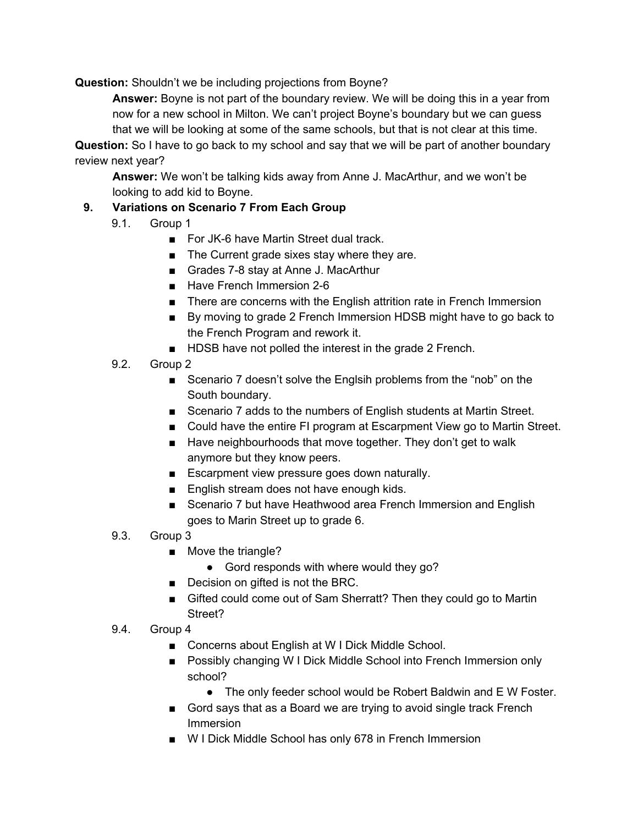**Question:** Shouldn't we be including projections from Boyne?

**Answer:** Boyne is not part of the boundary review. We will be doing this in a year from now for a new school in Milton. We can't project Boyne's boundary but we can guess that we will be looking at some of the same schools, but that is not clear at this time.

**Question:** So I have to go back to my school and say that we will be part of another boundary review next year?

**Answer:** We won't be talking kids away from Anne J. MacArthur, and we won't be looking to add kid to Boyne.

## **9. Variations on Scenario 7 From Each Group**

- 9.1. Group 1
	- For JK-6 have Martin Street dual track.
	- The Current grade sixes stay where they are.
	- Grades 7-8 stay at Anne J. MacArthur
	- Have French Immersion 2-6
	- There are concerns with the English attrition rate in French Immersion
	- By moving to grade 2 French Immersion HDSB might have to go back to the French Program and rework it.
	- HDSB have not polled the interest in the grade 2 French.
- 9.2. Group 2
	- Scenario 7 doesn't solve the Englsih problems from the "nob" on the South boundary.
	- Scenario 7 adds to the numbers of English students at Martin Street.
	- Could have the entire FI program at Escarpment View go to Martin Street.
	- Have neighbourhoods that move together. They don't get to walk anymore but they know peers.
	- Escarpment view pressure goes down naturally.
	- English stream does not have enough kids.
	- Scenario 7 but have Heathwood area French Immersion and English goes to Marin Street up to grade 6.
- 9.3. Group 3
	- Move the triangle?
		- Gord responds with where would they go?
	- Decision on gifted is not the BRC.
	- Gifted could come out of Sam Sherratt? Then they could go to Martin Street?
- 9.4. Group 4
	- Concerns about English at W I Dick Middle School.
	- Possibly changing W I Dick Middle School into French Immersion only school?
		- The only feeder school would be Robert Baldwin and E W Foster.
	- Gord says that as a Board we are trying to avoid single track French Immersion
	- W I Dick Middle School has only 678 in French Immersion